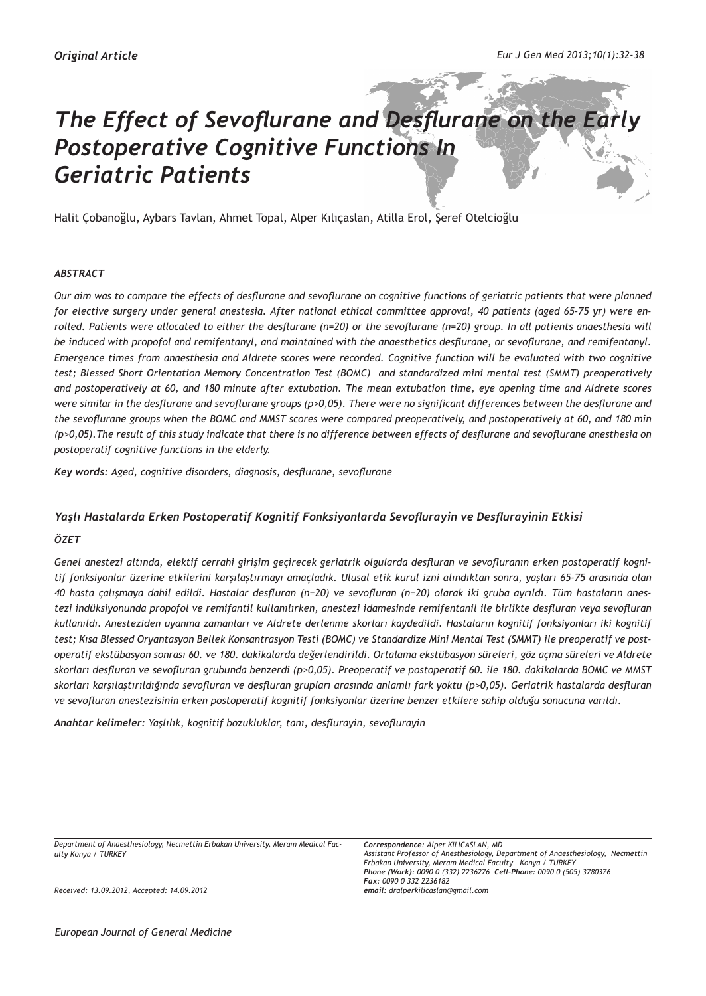# *The Effect of Sevoflurane and Desflurane on the Early Postoperative Cognitive Functions In Geriatric Patients*

Halit Çobanoğlu, Aybars Tavlan, Ahmet Topal, Alper Kılıçaslan, Atilla Erol, Şeref Otelcioğlu

#### *ABSTRACT*

*Our aim was to compare the effects of desflurane and sevoflurane on cognitive functions of geriatric patients that were planned for elective surgery under general anestesia. After national ethical committee approval, 40 patients (aged 65-75 yr) were enrolled. Patients were allocated to either the desflurane (n=20) or the sevoflurane (n=20) group. In all patients anaesthesia will be induced with propofol and remifentanyl, and maintained with the anaesthetics desflurane, or sevoflurane, and remifentanyl. Emergence times from anaesthesia and Aldrete scores were recorded. Cognitive function will be evaluated with two cognitive test; Blessed Short Orientation Memory Concentration Test (BOMC) and standardized mini mental test (SMMT) preoperatively and postoperatively at 60, and 180 minute after extubation. The mean extubation time, eye opening time and Aldrete scores were similar in the desflurane and sevoflurane groups (p>0,05). There were no significant differences between the desflurane and the sevoflurane groups when the BOMC and MMST scores were compared preoperatively, and postoperatively at 60, and 180 min (p>0,05).The result of this study indicate that there is no difference between effects of desflurane and sevoflurane anesthesia on postoperatif cognitive functions in the elderly.* 

*Key words: Aged, cognitive disorders, diagnosis, desflurane, sevoflurane*

## *Yaşlı Hastalarda Erken Postoperatif Kognitif Fonksiyonlarda Sevoflurayin ve Desflurayinin Etkisi*

#### *ÖZET*

*Genel anestezi altında, elektif cerrahi girişim geçirecek geriatrik olgularda desfluran ve sevofluranın erken postoperatif kognitif fonksiyonlar üzerine etkilerini karşılaştırmayı amaçladık. Ulusal etik kurul izni alındıktan sonra, yaşları 65-75 arasında olan 40 hasta çalışmaya dahil edildi. Hastalar desfluran (n=20) ve sevofluran (n=20) olarak iki gruba ayrıldı. Tüm hastaların anestezi indüksiyonunda propofol ve remifantil kullanılırken, anestezi idamesinde remifentanil ile birlikte desfluran veya sevofluran kullanıldı. Anesteziden uyanma zamanları ve Aldrete derlenme skorları kaydedildi. Hastaların kognitif fonksiyonları iki kognitif test; Kısa Blessed Oryantasyon Bellek Konsantrasyon Testi (BOMC) ve Standardize Mini Mental Test (SMMT) ile preoperatif ve postoperatif ekstübasyon sonrası 60. ve 180. dakikalarda değerlendirildi. Ortalama ekstübasyon süreleri, göz açma süreleri ve Aldrete skorları desfluran ve sevofluran grubunda benzerdi (p>0,05). Preoperatif ve postoperatif 60. ile 180. dakikalarda BOMC ve MMST skorları karşılaştırıldığında sevofluran ve desfluran grupları arasında anlamlı fark yoktu (p>0,05). Geriatrik hastalarda desfluran ve sevofluran anestezisinin erken postoperatif kognitif fonksiyonlar üzerine benzer etkilere sahip olduğu sonucuna varıldı.*

*Anahtar kelimeler: Yaşlılık, kognitif bozukluklar, tanı, desflurayin, sevoflurayin*

*Department of Anaesthesiology, Necmettin Erbakan University, Meram Medical Faculty Konya / TURKEY*

*Received: 13.09.2012, Accepted: 14.09.2012*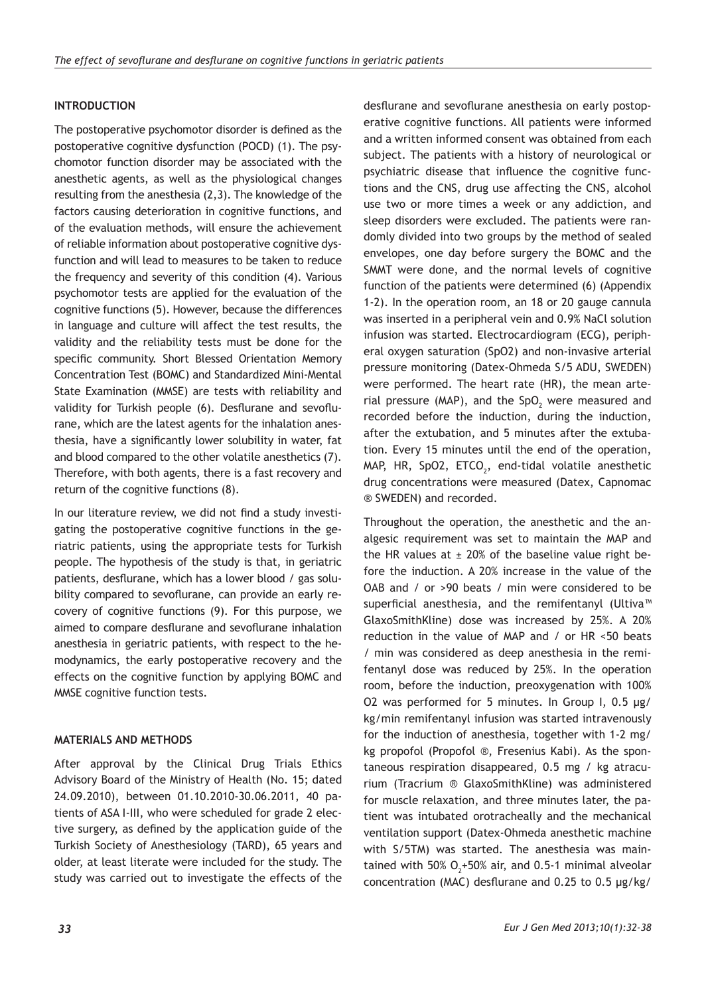# **INTRODUCTION**

The postoperative psychomotor disorder is defined as the postoperative cognitive dysfunction (POCD) (1). The psychomotor function disorder may be associated with the anesthetic agents, as well as the physiological changes resulting from the anesthesia (2,3). The knowledge of the factors causing deterioration in cognitive functions, and of the evaluation methods, will ensure the achievement of reliable information about postoperative cognitive dysfunction and will lead to measures to be taken to reduce the frequency and severity of this condition (4). Various psychomotor tests are applied for the evaluation of the cognitive functions (5). However, because the differences in language and culture will affect the test results, the validity and the reliability tests must be done for the specific community. Short Blessed Orientation Memory Concentration Test (BOMC) and Standardized Mini-Mental State Examination (MMSE) are tests with reliability and validity for Turkish people (6). Desflurane and sevoflurane, which are the latest agents for the inhalation anesthesia, have a significantly lower solubility in water, fat and blood compared to the other volatile anesthetics (7). Therefore, with both agents, there is a fast recovery and return of the cognitive functions (8).

In our literature review, we did not find a study investigating the postoperative cognitive functions in the geriatric patients, using the appropriate tests for Turkish people. The hypothesis of the study is that, in geriatric patients, desflurane, which has a lower blood / gas solubility compared to sevoflurane, can provide an early recovery of cognitive functions (9). For this purpose, we aimed to compare desflurane and sevoflurane inhalation anesthesia in geriatric patients, with respect to the hemodynamics, the early postoperative recovery and the effects on the cognitive function by applying BOMC and MMSE cognitive function tests.

# **MATERIALS AND METHODS**

After approval by the Clinical Drug Trials Ethics Advisory Board of the Ministry of Health (No. 15; dated 24.09.2010), between 01.10.2010-30.06.2011, 40 patients of ASA I-III, who were scheduled for grade 2 elective surgery, as defined by the application guide of the Turkish Society of Anesthesiology (TARD), 65 years and older, at least literate were included for the study. The study was carried out to investigate the effects of the desflurane and sevoflurane anesthesia on early postoperative cognitive functions. All patients were informed and a written informed consent was obtained from each subject. The patients with a history of neurological or psychiatric disease that influence the cognitive functions and the CNS, drug use affecting the CNS, alcohol use two or more times a week or any addiction, and sleep disorders were excluded. The patients were randomly divided into two groups by the method of sealed envelopes, one day before surgery the BOMC and the SMMT were done, and the normal levels of cognitive function of the patients were determined (6) (Appendix 1-2). In the operation room, an 18 or 20 gauge cannula was inserted in a peripheral vein and 0.9% NaCl solution infusion was started. Electrocardiogram (ECG), peripheral oxygen saturation (SpO2) and non-invasive arterial pressure monitoring (Datex-Ohmeda S/5 ADU, SWEDEN) were performed. The heart rate (HR), the mean arterial pressure (MAP), and the SpO<sub>2</sub> were measured and recorded before the induction, during the induction, after the extubation, and 5 minutes after the extubation. Every 15 minutes until the end of the operation, MAP, HR, SpO2, ETCO $_2$ , end-tidal volatile anesthetic drug concentrations were measured (Datex, Capnomac ® SWEDEN) and recorded.

Throughout the operation, the anesthetic and the analgesic requirement was set to maintain the MAP and the HR values at  $\pm$  20% of the baseline value right before the induction. A 20% increase in the value of the OAB and / or >90 beats / min were considered to be superficial anesthesia, and the remifentanyl (Ultiva<sup>™</sup> GlaxoSmithKline) dose was increased by 25%. A 20% reduction in the value of MAP and / or HR <50 beats / min was considered as deep anesthesia in the remifentanyl dose was reduced by 25%. In the operation room, before the induction, preoxygenation with 100% O2 was performed for 5 minutes. In Group I,  $0.5 \mu g/$ kg/min remifentanyl infusion was started intravenously for the induction of anesthesia, together with 1-2 mg/ kg propofol (Propofol ®, Fresenius Kabi). As the spontaneous respiration disappeared, 0.5 mg / kg atracurium (Tracrium ® GlaxoSmithKline) was administered for muscle relaxation, and three minutes later, the patient was intubated orotracheally and the mechanical ventilation support (Datex-Ohmeda anesthetic machine with S/5TM) was started. The anesthesia was maintained with 50%  $O_2$ +50% air, and 0.5-1 minimal alveolar concentration (MAC) desflurane and 0.25 to 0.5 µg/kg/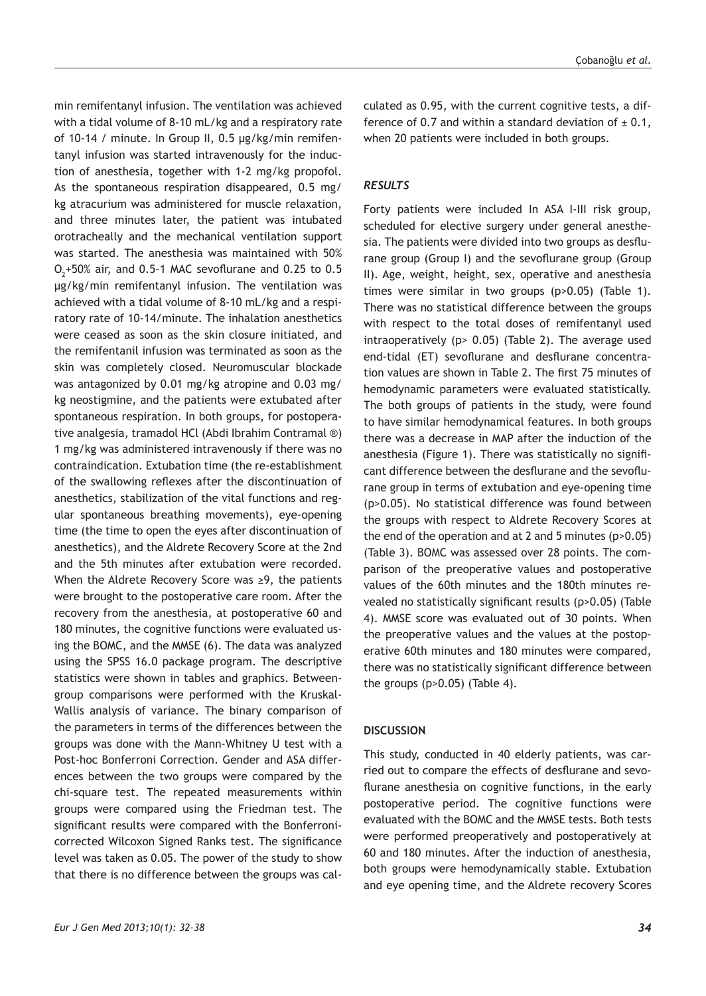min remifentanyl infusion. The ventilation was achieved with a tidal volume of 8-10 mL/kg and a respiratory rate of 10-14 / minute. In Group II, 0.5 µg/kg/min remifentanyl infusion was started intravenously for the induction of anesthesia, together with 1-2 mg/kg propofol. As the spontaneous respiration disappeared, 0.5 mg/ kg atracurium was administered for muscle relaxation, and three minutes later, the patient was intubated orotracheally and the mechanical ventilation support was started. The anesthesia was maintained with 50%  $O_{2}$ +50% air, and 0.5-1 MAC sevoflurane and 0.25 to 0.5 µg/kg/min remifentanyl infusion. The ventilation was achieved with a tidal volume of 8-10 mL/kg and a respiratory rate of 10-14/minute. The inhalation anesthetics were ceased as soon as the skin closure initiated, and the remifentanil infusion was terminated as soon as the skin was completely closed. Neuromuscular blockade was antagonized by 0.01 mg/kg atropine and 0.03 mg/ kg neostigmine, and the patients were extubated after spontaneous respiration. In both groups, for postoperative analgesia, tramadol HCl (Abdi Ibrahim Contramal ®) 1 mg/kg was administered intravenously if there was no contraindication. Extubation time (the re-establishment of the swallowing reflexes after the discontinuation of anesthetics, stabilization of the vital functions and regular spontaneous breathing movements), eye-opening time (the time to open the eyes after discontinuation of anesthetics), and the Aldrete Recovery Score at the 2nd and the 5th minutes after extubation were recorded. When the Aldrete Recovery Score was ≥9, the patients were brought to the postoperative care room. After the recovery from the anesthesia, at postoperative 60 and 180 minutes, the cognitive functions were evaluated using the BOMC, and the MMSE (6). The data was analyzed using the SPSS 16.0 package program. The descriptive statistics were shown in tables and graphics. Betweengroup comparisons were performed with the Kruskal-Wallis analysis of variance. The binary comparison of the parameters in terms of the differences between the groups was done with the Mann-Whitney U test with a Post-hoc Bonferroni Correction. Gender and ASA differences between the two groups were compared by the chi-square test. The repeated measurements within groups were compared using the Friedman test. The significant results were compared with the Bonferronicorrected Wilcoxon Signed Ranks test. The significance level was taken as 0.05. The power of the study to show that there is no difference between the groups was calculated as 0.95, with the current cognitive tests, a difference of 0.7 and within a standard deviation of  $\pm$  0.1, when 20 patients were included in both groups.

#### *RESULTS*

Forty patients were included In ASA I-III risk group, scheduled for elective surgery under general anesthesia. The patients were divided into two groups as desflurane group (Group I) and the sevoflurane group (Group II). Age, weight, height, sex, operative and anesthesia times were similar in two groups (p>0.05) (Table 1). There was no statistical difference between the groups with respect to the total doses of remifentanyl used intraoperatively (p> 0.05) (Table 2). The average used end-tidal (ET) sevoflurane and desflurane concentration values are shown in Table 2. The first 75 minutes of hemodynamic parameters were evaluated statistically. The both groups of patients in the study, were found to have similar hemodynamical features. In both groups there was a decrease in MAP after the induction of the anesthesia (Figure 1). There was statistically no significant difference between the desflurane and the sevoflurane group in terms of extubation and eye-opening time (p>0.05). No statistical difference was found between the groups with respect to Aldrete Recovery Scores at the end of the operation and at 2 and 5 minutes (p>0.05) (Table 3). BOMC was assessed over 28 points. The comparison of the preoperative values and postoperative values of the 60th minutes and the 180th minutes revealed no statistically significant results (p>0.05) (Table 4). MMSE score was evaluated out of 30 points. When the preoperative values and the values at the postoperative 60th minutes and 180 minutes were compared, there was no statistically significant difference between the groups (p>0.05) (Table 4).

#### **DISCUSSION**

This study, conducted in 40 elderly patients, was carried out to compare the effects of desflurane and sevoflurane anesthesia on cognitive functions, in the early postoperative period. The cognitive functions were evaluated with the BOMC and the MMSE tests. Both tests were performed preoperatively and postoperatively at 60 and 180 minutes. After the induction of anesthesia, both groups were hemodynamically stable. Extubation and eye opening time, and the Aldrete recovery Scores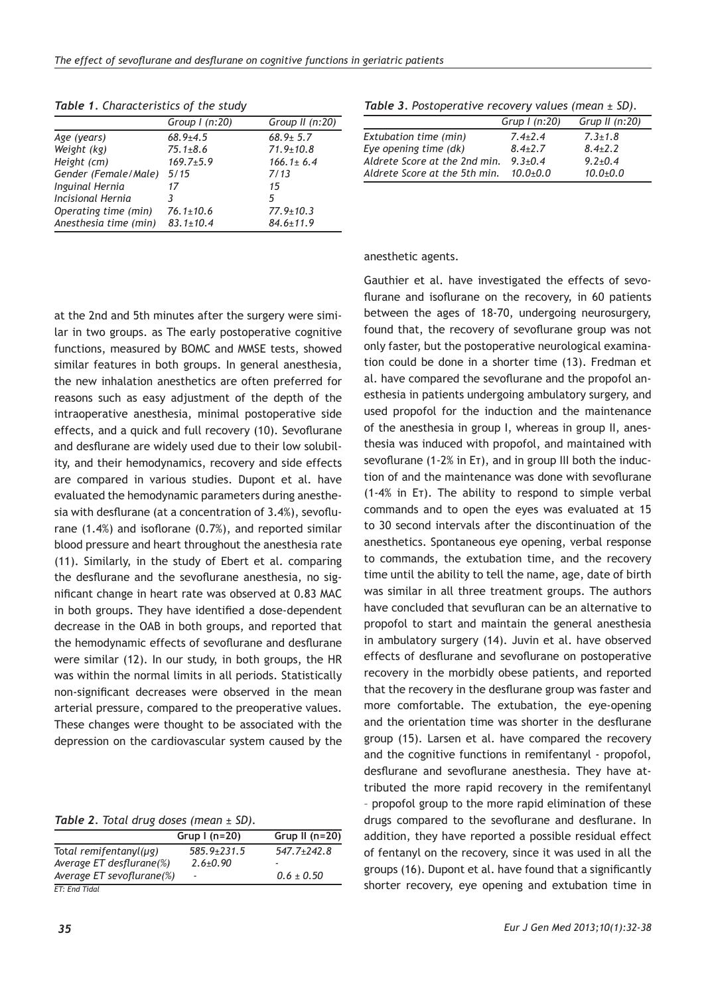|                           | Group $l$ (n:20) | Group II (n:20) |
|---------------------------|------------------|-----------------|
| Age (years)               | $68.9{\pm}4.5$   | $68.9 \pm 5.7$  |
| Weight (kg)               | $75.1 \pm 8.6$   | $71.9 \pm 10.8$ |
| Height (cm)               | $169.7 \pm 5.9$  | $166.1 \pm 6.4$ |
| Gender (Female/Male) 5/15 |                  | 7/13            |
| <b>Inguinal Hernia</b>    | 17               | 15              |
| Incisional Hernia         | 3                | 5               |
| Operating time (min)      | $76.1 \pm 10.6$  | $77.9 \pm 10.3$ |
| Anesthesia time (min)     | $83.1 \pm 10.4$  | $84.6 \pm 11.9$ |

*Table 1. Characteristics of the study*

## *Table 3. Postoperative recovery values (mean ± SD).*

|                               | Grup $I(n:20)$ | Grup II $(n:20)$ |
|-------------------------------|----------------|------------------|
| Extubation time (min)         | $7.4 + 7.4$    | $7.3 \pm 1.8$    |
| Eye opening time (dk)         | $8.4 + 2.7$    | $8.4 + 2.2$      |
| Aldrete Score at the 2nd min. | $9.3 + 0.4$    | $9.2 + 0.4$      |
| Aldrete Score at the 5th min. | $10.0 + 0.0$   | $10.0 + 0.0$     |

### anesthetic agents.

at the 2nd and 5th minutes after the surgery were similar in two groups. as The early postoperative cognitive functions, measured by BOMC and MMSE tests, showed similar features in both groups. In general anesthesia, the new inhalation anesthetics are often preferred for reasons such as easy adjustment of the depth of the intraoperative anesthesia, minimal postoperative side effects, and a quick and full recovery (10). Sevoflurane and desflurane are widely used due to their low solubility, and their hemodynamics, recovery and side effects are compared in various studies. Dupont et al. have evaluated the hemodynamic parameters during anesthesia with desflurane (at a concentration of 3.4%), sevoflurane (1.4%) and isoflorane (0.7%), and reported similar blood pressure and heart throughout the anesthesia rate (11). Similarly, in the study of Ebert et al. comparing the desflurane and the sevoflurane anesthesia, no significant change in heart rate was observed at 0.83 MAC in both groups. They have identified a dose-dependent decrease in the OAB in both groups, and reported that the hemodynamic effects of sevoflurane and desflurane were similar (12). In our study, in both groups, the HR was within the normal limits in all periods. Statistically non-significant decreases were observed in the mean arterial pressure, compared to the preoperative values. These changes were thought to be associated with the depression on the cardiovascular system caused by the

*Table 2. Total drug doses (mean ± SD).*

|                              | Grup $(n=20)$   | Grup II $(n=20)$ |
|------------------------------|-----------------|------------------|
| Total remifentanyl( $\mu$ g) | $585.9 + 231.5$ | $547.7 + 242.8$  |
| Average ET desflurane(%)     | $2.6 \pm 0.90$  |                  |
| Average ET sevoflurane(%)    | ٠               | $0.6 \pm 0.50$   |
| ET: End Tidal                |                 |                  |

Gauthier et al. have investigated the effects of sevoflurane and isoflurane on the recovery, in 60 patients between the ages of 18-70, undergoing neurosurgery, found that, the recovery of sevoflurane group was not only faster, but the postoperative neurological examination could be done in a shorter time (13). Fredman et al. have compared the sevoflurane and the propofol anesthesia in patients undergoing ambulatory surgery, and used propofol for the induction and the maintenance of the anesthesia in group I, whereas in group II, anesthesia was induced with propofol, and maintained with sevoflurane (1-2% in Eт), and in group III both the induction of and the maintenance was done with sevoflurane (1-4% in Eт). The ability to respond to simple verbal commands and to open the eyes was evaluated at 15 to 30 second intervals after the discontinuation of the anesthetics. Spontaneous eye opening, verbal response to commands, the extubation time, and the recovery time until the ability to tell the name, age, date of birth was similar in all three treatment groups. The authors have concluded that sevufluran can be an alternative to propofol to start and maintain the general anesthesia in ambulatory surgery (14). Juvin et al. have observed effects of desflurane and sevoflurane on postoperative recovery in the morbidly obese patients, and reported that the recovery in the desflurane group was faster and more comfortable. The extubation, the eye-opening and the orientation time was shorter in the desflurane group (15). Larsen et al. have compared the recovery and the cognitive functions in remifentanyl - propofol, desflurane and sevoflurane anesthesia. They have attributed the more rapid recovery in the remifentanyl – propofol group to the more rapid elimination of these drugs compared to the sevoflurane and desflurane. In addition, they have reported a possible residual effect of fentanyl on the recovery, since it was used in all the groups (16). Dupont et al. have found that a significantly shorter recovery, eye opening and extubation time in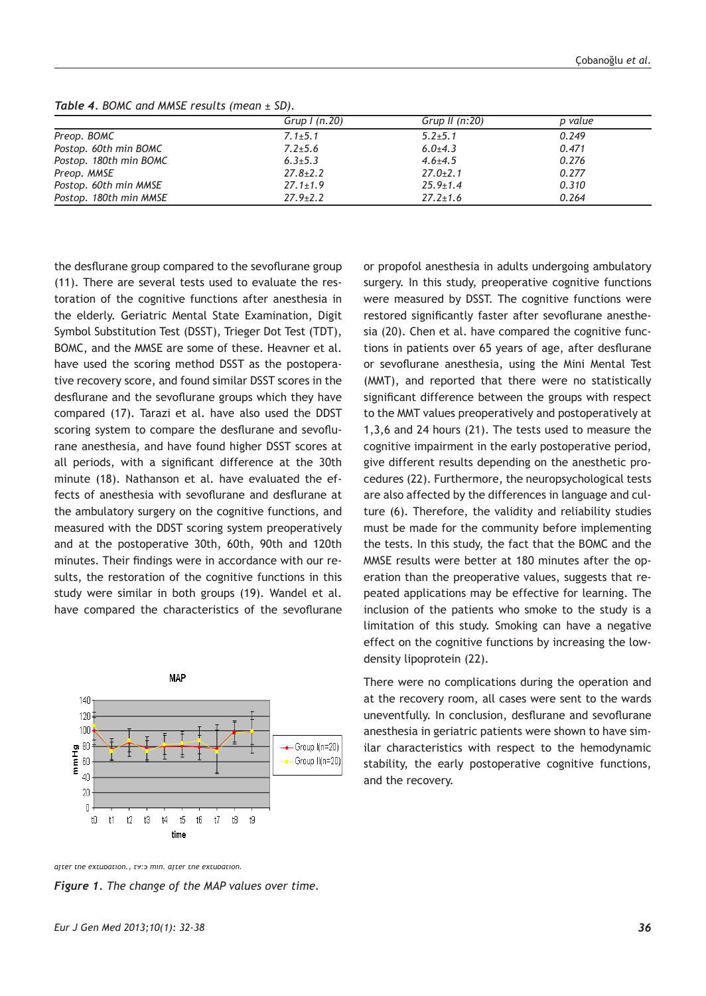|                        | Grup $\mid$ (n.20) | Grup II $(n:20)$ | p value |
|------------------------|--------------------|------------------|---------|
| Preop. BOMC            | $7.1 \pm 5.1$      | $5.2 \pm 5.1$    | 0.249   |
| Postop. 60th min BOMC  | $7.2 \pm 5.6$      | $6.0{\pm}4.3$    | 0.471   |
| Postop. 180th min BOMC | $6.3 \pm 5.3$      | $4.6 \pm 4.5$    | 0.276   |
| Preop. MMSE            | $27.8 \pm 2.2$     | $27.0 \pm 2.1$   | 0.277   |
| Postop. 60th min MMSE  | $27.1 \pm 1.9$     | $25.9 \pm 1.4$   | 0.310   |
| Postop. 180th min MMSE | $27.9 \pm 2.2$     | $27.2 \pm 1.6$   | 0.264   |

*Table 4. BOMC and MMSE results (mean ± SD).*

the desflurane group compared to the sevoflurane group (11). There are several tests used to evaluate the restoration of the cognitive functions after anesthesia in the elderly. Geriatric Mental State Examination, Digit Symbol Substitution Test (DSST), Trieger Dot Test (TDT), BOMC, and the MMSE are some of these. Heavner et al. have used the scoring method DSST as the postoperative recovery score, and found similar DSST scores in the desflurane and the sevoflurane groups which they have compared (17). Tarazi et al. have also used the DDST scoring system to compare the desflurane and sevoflurane anesthesia, and have found higher DSST scores at all periods, with a significant difference at the 30th minute (18). Nathanson et al. have evaluated the effects of anesthesia with sevoflurane and desflurane at the ambulatory surgery on the cognitive functions, and measured with the DDST scoring system preoperatively and at the postoperative 30th, 60th, 90th and 120th minutes. Their findings were in accordance with our results, the restoration of the cognitive functions in this study were similar in both groups (19). Wandel et al. have compared the characteristics of the sevoflurane



or propofol anesthesia in adults undergoing ambulatory surgery. In this study, preoperative cognitive functions were measured by DSST. The cognitive functions were restored significantly faster after sevoflurane anesthesia (20). Chen et al. have compared the cognitive functions in patients over 65 years of age, after desflurane or sevoflurane anesthesia, using the Mini Mental Test (MMT), and reported that there were no statistically significant difference between the groups with respect to the MMT values preoperatively and postoperatively at 1,3,6 and 24 hours (21). The tests used to measure the cognitive impairment in the early postoperative period, give different results depending on the anesthetic procedures (22). Furthermore, the neuropsychological tests are also affected by the differences in language and culture (6). Therefore, the validity and reliability studies must be made for the community before implementing the tests. In this study, the fact that the BOMC and the MMSE results were better at 180 minutes after the operation than the preoperative values, suggests that repeated applications may be effective for learning. The inclusion of the patients who smoke to the study is a limitation of this study. Smoking can have a negative effect on the cognitive functions by increasing the lowdensity lipoprotein (22).

There were no complications during the operation and at the recovery room, all cases were sent to the wards uneventfully. In conclusion, desflurane and sevoflurane anesthesia in geriatric patients were shown to have similar characteristics with respect to the hemodynamic stability, the early postoperative cognitive functions, and the recovery.

*Figure 1. The change of the MAP values over time.*

*tion, t3:15th min., t4:30th min., t5: 45th min, t6: 60th min., t7: 75th min., t8: after the extubation., t9:5 min. after the extubation.*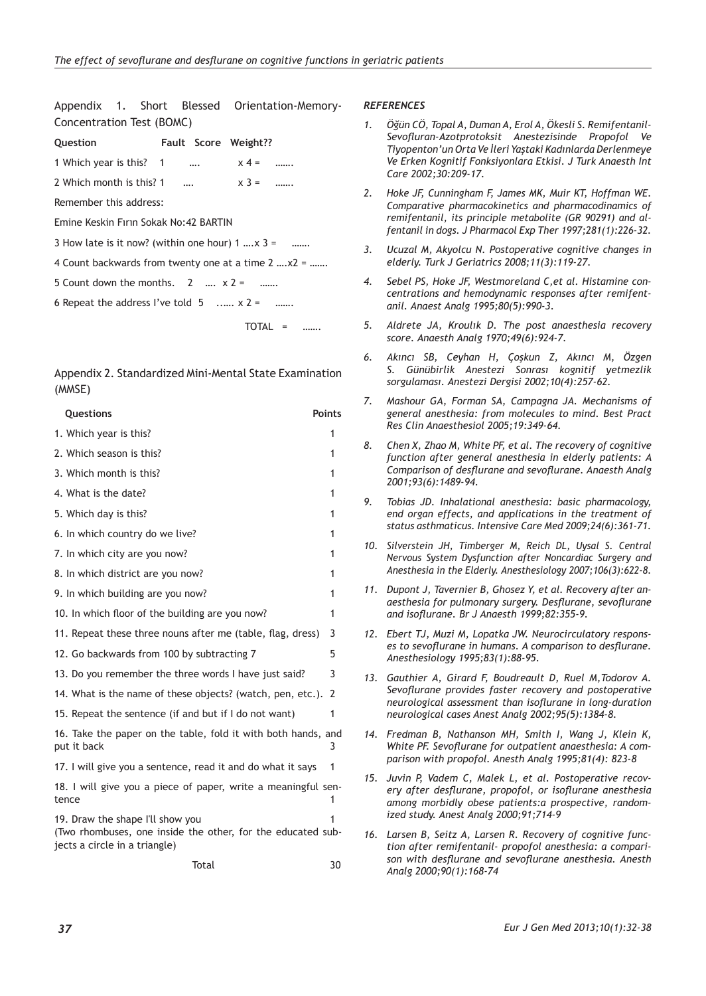Appendix 1. Short Blessed Orientation-Memory-Concentration Test (BOMC)

| Question |  |  | Fault Score Weight?? |
|----------|--|--|----------------------|
|----------|--|--|----------------------|

1 Which year is this?  $1 \quad ... \quad x \quad 4 = \quad ...$ 

2 Which month is this? 1 ….  $x 3 =$  …….

Remember this address:

Emine Keskin Fırın Sokak No:42 BARTIN

3 How late is it now? (within one hour)  $1 \dots x$  3 = ……

4 Count backwards from twenty one at a time 2 ….x2 = …….

5 Count down the months.  $2 \dots x^2 = \dots$ 

6 Repeat the address I've told  $5$  ......  $x^2 =$  .......

TOTAL = …….

Appendix 2. Standardized Mini-Mental State Examination (MMSE)

| Questions                                                                                                                        | <b>Points</b>  |
|----------------------------------------------------------------------------------------------------------------------------------|----------------|
| 1. Which year is this?                                                                                                           | 1              |
| 2. Which season is this?                                                                                                         | 1              |
| 3. Which month is this?                                                                                                          | 1              |
| 4. What is the date?                                                                                                             | 1              |
| 5. Which day is this?                                                                                                            | 1              |
| 6. In which country do we live?                                                                                                  | 1              |
| 7. In which city are you now?                                                                                                    | 1              |
| 8. In which district are you now?                                                                                                | 1              |
| 9. In which building are you now?                                                                                                | 1              |
| 10. In which floor of the building are you now?                                                                                  | 1              |
| 11. Repeat these three nouns after me (table, flag, dress)                                                                       | 3              |
| 12. Go backwards from 100 by subtracting 7                                                                                       | 5              |
| 13. Do you remember the three words I have just said?                                                                            | 3              |
| 14. What is the name of these objects? (watch, pen, etc.).                                                                       | $\overline{2}$ |
| 15. Repeat the sentence (if and but if I do not want)                                                                            | $\mathbf{1}$   |
| 16. Take the paper on the table, fold it with both hands, and<br>put it back                                                     | 3              |
| 17. I will give you a sentence, read it and do what it says                                                                      | 1              |
| 18. I will give you a piece of paper, write a meaningful sen-<br>tence                                                           | 1              |
| 19. Draw the shape I'll show you<br>(Two rhombuses, one inside the other, for the educated sub-<br>jects a circle in a triangle) |                |

#### *REFERENCES*

- *1. Öğün CÖ, Topal A, Duman A, Erol A, Ökesli S. Remifentanil-Sevofluran-Azotprotoksit Anestezisinde Propofol Ve Tiyopenton'un Orta Ve İleri Yaştaki Kadınlarda Derlenmeye Ve Erken Kognitif Fonksiyonlara Etkisi. J Turk Anaesth Int Care 2002;30:209-17.*
- *2. Hoke JF, Cunningham F, James MK, Muir KT, Hoffman WE. Comparative pharmacokinetics and pharmacodinamics of remifentanil, its principle metabolite (GR 90291) and alfentanil in dogs. J Pharmacol Exp Ther 1997;281(1):226-32.*
- *3. Ucuzal M, Akyolcu N. Postoperative cognitive changes in elderly. Turk J Geriatrics 2008;11(3):119-27.*
- *4. Sebel PS, Hoke JF, Westmoreland C,et al. Histamine concentrations and hemodynamic responses after remifentanil. Anaest Analg 1995;80(5):990-3.*
- *5. Aldrete JA, Kroulık D. The post anaesthesia recovery score. Anaesth Analg 1970;49(6):924-7.*
- *6. Akıncı SB, Ceyhan H, Çoşkun Z, Akıncı M, Özgen S. Günübirlik Anestezi Sonrası kognitif yetmezlik sorgulaması. Anestezi Dergisi 2002;10(4):257-62.*
- *7. Mashour GA, Forman SA, Campagna JA. Mechanisms of general anesthesia: from molecules to mind. Best Pract Res Clin Anaesthesiol 2005;19:349-64.*
- *8. Chen X, Zhao M, White PF, et al. The recovery of cognitive function after general anesthesia in elderly patients: A Comparison of desflurane and sevoflurane. Anaesth Analg 2001;93(6):1489-94.*
- *9. Tobias JD. Inhalational anesthesia: basic pharmacology, end organ effects, and applications in the treatment of status asthmaticus. Intensive Care Med 2009;24(6):361-71.*
- *10. Silverstein JH, Timberger M, Reich DL, Uysal S. Central Nervous System Dysfunction after Noncardiac Surgery and Anesthesia in the Elderly. Anesthesiology 2007;106(3):622-8.*
- *11. Dupont J, Tavernier B, Ghosez Y, et al. Recovery after anaesthesia for pulmonary surgery. Desflurane, sevoflurane and isoflurane. Br J Anaesth 1999;82:355-9.*
- *12. Ebert TJ, Muzi M, Lopatka JW. Neurocirculatory responses to sevoflurane in humans. A comparison to desflurane. Anesthesiology 1995;83(1):88-95.*
- *13. Gauthier A, Girard F, Boudreault D, Ruel M,Todorov A. Sevoflurane provides faster recovery and postoperative neurological assessment than isoflurane in long-duration neurological cases Anest Analg 2002;95(5):1384-8.*
- *14. Fredman B, Nathanson MH, Smith I, Wang J, Klein K, White PF. Sevoflurane for outpatient anaesthesia: A comparison with propofol. Anesth Analg 1995;81(4): 823-8*
- *15. Juvin P, Vadem C, Malek L, et al. Postoperative recovery after desflurane, propofol, or isoflurane anesthesia among morbidly obese patients:a prospective, randomized study. Anest Analg 2000;91;714-9*
- *16. Larsen B, Seitz A, Larsen R. Recovery of cognitive function after remifentanil- propofol anesthesia: a comparison with desflurane and sevoflurane anesthesia. Anesth Analg 2000;90(1):168-74*